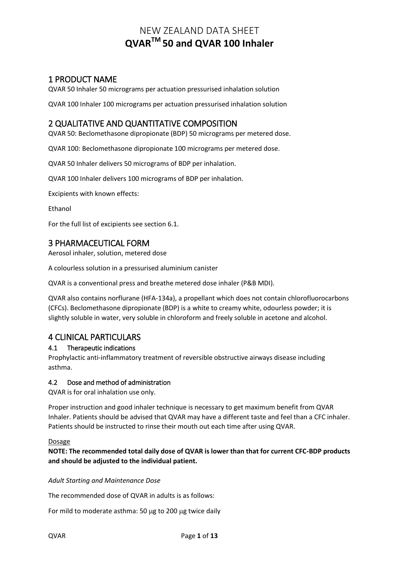# 1 PRODUCT NAME

QVAR 50 Inhaler 50 micrograms per actuation pressurised inhalation solution

QVAR 100 Inhaler 100 micrograms per actuation pressurised inhalation solution

# 2 QUALITATIVE AND QUANTITATIVE COMPOSITION

QVAR 50: Beclomethasone dipropionate (BDP) 50 micrograms per metered dose.

QVAR 100: Beclomethasone dipropionate 100 micrograms per metered dose.

QVAR 50 Inhaler delivers 50 micrograms of BDP per inhalation.

QVAR 100 Inhaler delivers 100 micrograms of BDP per inhalation.

Excipients with known effects:

Ethanol

For the full list of excipients see section 6.1.

# 3 PHARMACEUTICAL FORM

Aerosol inhaler, solution, metered dose

A colourless solution in a pressurised aluminium canister

QVAR is a conventional press and breathe metered dose inhaler (P&B MDI).

QVAR also contains norflurane (HFA-134a), a propellant which does not contain chlorofluorocarbons (CFCs). Beclomethasone dipropionate (BDP) is a white to creamy white, odourless powder; it is slightly soluble in water, very soluble in chloroform and freely soluble in acetone and alcohol.

# 4 CLINICAL PARTICULARS

## 4.1 Therapeutic indications

Prophylactic anti-inflammatory treatment of reversible obstructive airways disease including asthma.

## 4.2 Dose and method of administration

QVAR is for oral inhalation use only.

Proper instruction and good inhaler technique is necessary to get maximum benefit from QVAR Inhaler. Patients should be advised that QVAR may have a different taste and feel than a CFC inhaler. Patients should be instructed to rinse their mouth out each time after using QVAR.

#### Dosage

**NOTE: The recommended total daily dose of QVAR is lower than that for current CFC-BDP products and should be adjusted to the individual patient.**

*Adult Starting and Maintenance Dose*

The recommended dose of QVAR in adults is as follows:

For mild to moderate asthma: 50 ug to 200 ug twice daily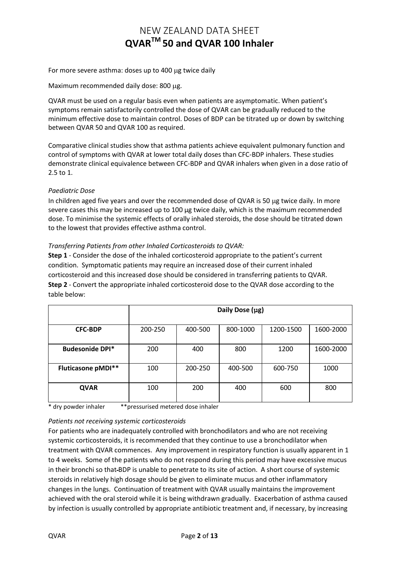For more severe asthma: doses up to 400 µg twice daily

Maximum recommended daily dose: 800 µg.

QVAR must be used on a regular basis even when patients are asymptomatic. When patient's symptoms remain satisfactorily controlled the dose of QVAR can be gradually reduced to the minimum effective dose to maintain control. Doses of BDP can be titrated up or down by switching between QVAR 50 and QVAR 100 as required.

Comparative clinical studies show that asthma patients achieve equivalent pulmonary function and control of symptoms with QVAR at lower total daily doses than CFC-BDP inhalers. These studies demonstrate clinical equivalence between CFC-BDP and QVAR inhalers when given in a dose ratio of 2.5 to 1.

#### *Paediatric Dose*

In children aged five years and over the recommended dose of QVAR is 50 µg twice daily. In more severe cases this may be increased up to 100 µg twice daily, which is the maximum recommended dose. To minimise the systemic effects of orally inhaled steroids, the dose should be titrated down to the lowest that provides effective asthma control.

#### *Transferring Patients from other Inhaled Corticosteroids to QVAR:*

**Step 1** - Consider the dose of the inhaled corticosteroid appropriate to the patient's current condition. Symptomatic patients may require an increased dose of their current inhaled corticosteroid and this increased dose should be considered in transferring patients to QVAR. **Step 2** - Convert the appropriate inhaled corticosteroid dose to the QVAR dose according to the table below:

|                           | Daily Dose (µg) |         |          |           |           |
|---------------------------|-----------------|---------|----------|-----------|-----------|
| <b>CFC-BDP</b>            | 200-250         | 400-500 | 800-1000 | 1200-1500 | 1600-2000 |
| <b>Budesonide DPI*</b>    | 200             | 400     | 800      | 1200      | 1600-2000 |
| <b>Fluticasone pMDI**</b> | 100             | 200-250 | 400-500  | 600-750   | 1000      |
| <b>QVAR</b>               | 100             | 200     | 400      | 600       | 800       |

\* dry powder inhaler \*\*pressurised metered dose inhaler

#### *Patients not receiving systemic corticosteroids*

For patients who are inadequately controlled with bronchodilators and who are not receiving systemic corticosteroids, it is recommended that they continue to use a bronchodilator when treatment with QVAR commences. Any improvement in respiratory function is usually apparent in 1 to 4 weeks. Some of the patients who do not respond during this period may have excessive mucus in their bronchi so that BDP is unable to penetrate to its site of action. A short course of systemic steroids in relatively high dosage should be given to eliminate mucus and other inflammatory changes in the lungs. Continuation of treatment with QVAR usually maintains the improvement achieved with the oral steroid while it is being withdrawn gradually. Exacerbation of asthma caused by infection is usually controlled by appropriate antibiotic treatment and, if necessary, by increasing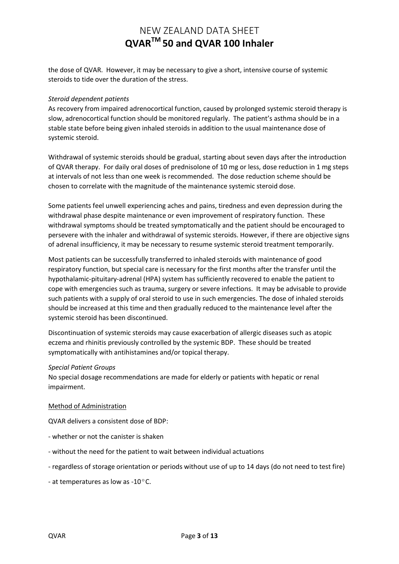the dose of QVAR. However, it may be necessary to give a short, intensive course of systemic steroids to tide over the duration of the stress.

#### *Steroid dependent patients*

As recovery from impaired adrenocortical function, caused by prolonged systemic steroid therapy is slow, adrenocortical function should be monitored regularly. The patient's asthma should be in a stable state before being given inhaled steroids in addition to the usual maintenance dose of systemic steroid.

Withdrawal of systemic steroids should be gradual, starting about seven days after the introduction of QVAR therapy. For daily oral doses of prednisolone of 10 mg or less, dose reduction in 1 mg steps at intervals of not less than one week is recommended. The dose reduction scheme should be chosen to correlate with the magnitude of the maintenance systemic steroid dose.

Some patients feel unwell experiencing aches and pains, tiredness and even depression during the withdrawal phase despite maintenance or even improvement of respiratory function. These withdrawal symptoms should be treated symptomatically and the patient should be encouraged to persevere with the inhaler and withdrawal of systemic steroids. However, if there are objective signs of adrenal insufficiency, it may be necessary to resume systemic steroid treatment temporarily.

Most patients can be successfully transferred to inhaled steroids with maintenance of good respiratory function, but special care is necessary for the first months after the transfer until the hypothalamic-pituitary-adrenal (HPA) system has sufficiently recovered to enable the patient to cope with emergencies such as trauma, surgery or severe infections. It may be advisable to provide such patients with a supply of oral steroid to use in such emergencies. The dose of inhaled steroids should be increased at this time and then gradually reduced to the maintenance level after the systemic steroid has been discontinued.

Discontinuation of systemic steroids may cause exacerbation of allergic diseases such as atopic eczema and rhinitis previously controlled by the systemic BDP. These should be treated symptomatically with antihistamines and/or topical therapy.

#### *Special Patient Groups*

No special dosage recommendations are made for elderly or patients with hepatic or renal impairment.

#### Method of Administration

QVAR delivers a consistent dose of BDP:

- whether or not the canister is shaken
- without the need for the patient to wait between individual actuations
- regardless of storage orientation or periods without use of up to 14 days (do not need to test fire)
- at temperatures as low as - $10^{\circ}$ C.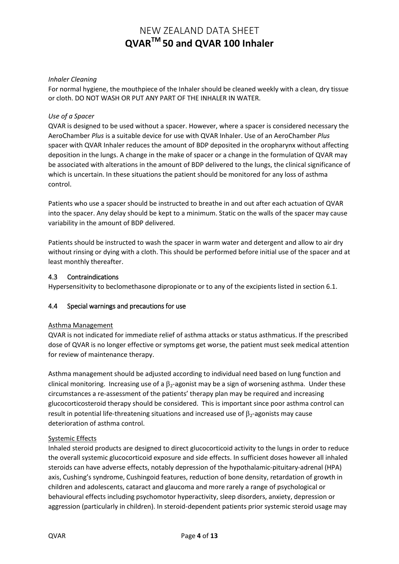## *Inhaler Cleaning*

For normal hygiene, the mouthpiece of the Inhaler should be cleaned weekly with a clean, dry tissue or cloth. DO NOT WASH OR PUT ANY PART OF THE INHALER IN WATER.

### *Use of a Spacer*

QVAR is designed to be used without a spacer. However, where a spacer is considered necessary the AeroChamber *Plus* is a suitable device for use with QVAR Inhaler. Use of an AeroChamber *Plus*  spacer with QVAR Inhaler reduces the amount of BDP deposited in the oropharynx without affecting deposition in the lungs. A change in the make of spacer or a change in the formulation of QVAR may be associated with alterations in the amount of BDP delivered to the lungs, the clinical significance of which is uncertain. In these situations the patient should be monitored for any loss of asthma control.

Patients who use a spacer should be instructed to breathe in and out after each actuation of QVAR into the spacer. Any delay should be kept to a minimum. Static on the walls of the spacer may cause variability in the amount of BDP delivered.

Patients should be instructed to wash the spacer in warm water and detergent and allow to air dry without rinsing or dying with a cloth. This should be performed before initial use of the spacer and at least monthly thereafter.

### 4.3 Contraindications

Hypersensitivity to beclomethasone dipropionate or to any of the excipients listed in section 6.1.

## 4.4 Special warnings and precautions for use

#### Asthma Management

QVAR is not indicated for immediate relief of asthma attacks or status asthmaticus. If the prescribed dose of QVAR is no longer effective or symptoms get worse, the patient must seek medical attention for review of maintenance therapy.

Asthma management should be adjusted according to individual need based on lung function and clinical monitoring. Increasing use of a  $\beta_2$ -agonist may be a sign of worsening asthma. Under these circumstances a re-assessment of the patients' therapy plan may be required and increasing glucocorticosteroid therapy should be considered. This is important since poor asthma control can result in potential life-threatening situations and increased use of  $\beta_2$ -agonists may cause deterioration of asthma control.

#### Systemic Effects

Inhaled steroid products are designed to direct glucocorticoid activity to the lungs in order to reduce the overall systemic glucocorticoid exposure and side effects. In sufficient doses however all inhaled steroids can have adverse effects, notably depression of the hypothalamic-pituitary-adrenal (HPA) axis, Cushing's syndrome, Cushingoid features, reduction of bone density, retardation of growth in children and adolescents, cataract and glaucoma and more rarely a range of psychological or behavioural effects including psychomotor hyperactivity, sleep disorders, anxiety, depression or aggression (particularly in children). In steroid-dependent patients prior systemic steroid usage may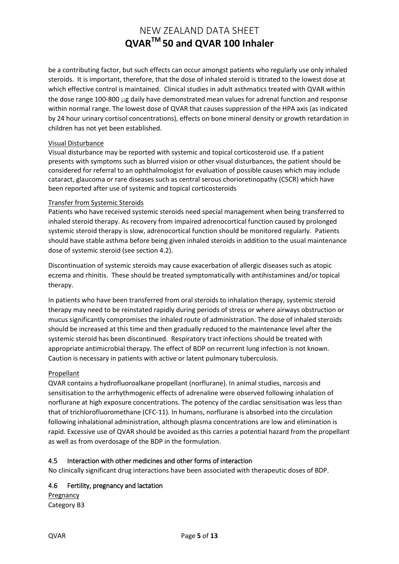be a contributing factor, but such effects can occur amongst patients who regularly use only inhaled steroids. It is important, therefore, that the dose of inhaled steroid is titrated to the lowest dose at which effective control is maintained. Clinical studies in adult asthmatics treated with QVAR within the dose range 100-800 µg daily have demonstrated mean values for adrenal function and response within normal range. The lowest dose of QVAR that causes suppression of the HPA axis (as indicated by 24 hour urinary cortisol concentrations), effects on bone mineral density or growth retardation in children has not yet been established.

### Visual Disturbance

Visual disturbance may be reported with systemic and topical corticosteroid use. If a patient presents with symptoms such as blurred vision or other visual disturbances, the patient should be considered for referral to an ophthalmologist for evaluation of possible causes which may include cataract, glaucoma or rare diseases such as central serous chorioretinopathy (CSCR) which have been reported after use of systemic and topical corticosteroids

#### Transfer from Systemic Steroids

Patients who have received systemic steroids need special management when being transferred to inhaled steroid therapy. As recovery from impaired adrenocortical function caused by prolonged systemic steroid therapy is slow, adrenocortical function should be monitored regularly.Patients should have stable asthma before being given inhaled steroids in addition to the usual maintenance dose of systemic steroid (see section 4.2).

Discontinuation of systemic steroids may cause exacerbation of allergic diseases such as atopic eczema and rhinitis. These should be treated symptomatically with antihistamines and/or topical therapy.

In patients who have been transferred from oral steroids to inhalation therapy, systemic steroid therapy may need to be reinstated rapidly during periods of stress or where airways obstruction or mucus significantly compromises the inhaled route of administration. The dose of inhaled steroids should be increased at this time and then gradually reduced to the maintenance level after the systemic steroid has been discontinued. Respiratory tract infections should be treated with appropriate antimicrobial therapy. The effect of BDP on recurrent lung infection is not known. Caution is necessary in patients with active or latent pulmonary tuberculosis.

## Propellant

QVAR contains a hydrofluoroalkane propellant (norflurane). In animal studies, narcosis and sensitisation to the arrhythmogenic effects of adrenaline were observed following inhalation of norflurane at high exposure concentrations. The potency of the cardiac sensitisation was less than that of trichlorofluoromethane (CFC-11). In humans, norflurane is absorbed into the circulation following inhalational administration, although plasma concentrations are low and elimination is rapid. Excessive use of QVAR should be avoided as this carries a potential hazard from the propellant as well as from overdosage of the BDP in the formulation.

## 4.5 Interaction with other medicines and other forms of interaction

No clinically significant drug interactions have been associated with therapeutic doses of BDP.

## 4.6 Fertility, pregnancy and lactation

Pregnancy Category B3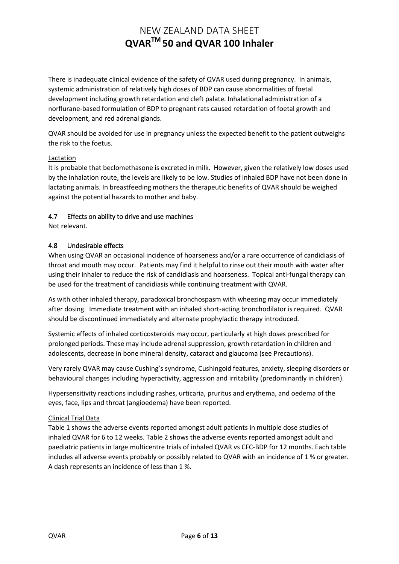There is inadequate clinical evidence of the safety of QVAR used during pregnancy. In animals, systemic administration of relatively high doses of BDP can cause abnormalities of foetal development including growth retardation and cleft palate. Inhalational administration of a norflurane-based formulation of BDP to pregnant rats caused retardation of foetal growth and development, and red adrenal glands.

QVAR should be avoided for use in pregnancy unless the expected benefit to the patient outweighs the risk to the foetus.

### Lactation

It is probable that beclomethasone is excreted in milk. However, given the relatively low doses used by the inhalation route, the levels are likely to be low. Studies of inhaled BDP have not been done in lactating animals. In breastfeeding mothers the therapeutic benefits of QVAR should be weighed against the potential hazards to mother and baby.

## 4.7 Effects on ability to drive and use machines

Not relevant.

### 4.8 Undesirable effects

When using QVAR an occasional incidence of hoarseness and/or a rare occurrence of candidiasis of throat and mouth may occur. Patients may find it helpful to rinse out their mouth with water after using their inhaler to reduce the risk of candidiasis and hoarseness. Topical anti-fungal therapy can be used for the treatment of candidiasis while continuing treatment with QVAR.

As with other inhaled therapy, paradoxical bronchospasm with wheezing may occur immediately after dosing. Immediate treatment with an inhaled short-acting bronchodilator is required. QVAR should be discontinued immediately and alternate prophylactic therapy introduced.

Systemic effects of inhaled corticosteroids may occur, particularly at high doses prescribed for prolonged periods. These may include adrenal suppression, growth retardation in children and adolescents, decrease in bone mineral density, cataract and glaucoma (see Precautions).

Very rarely QVAR may cause Cushing's syndrome, Cushingoid features, anxiety, sleeping disorders or behavioural changes including hyperactivity, aggression and irritability (predominantly in children).

Hypersensitivity reactions including rashes, urticaria, pruritus and erythema, and oedema of the eyes, face, lips and throat (angioedema) have been reported.

#### Clinical Trial Data

Table 1 shows the adverse events reported amongst adult patients in multiple dose studies of inhaled QVAR for 6 to 12 weeks. Table 2 shows the adverse events reported amongst adult and paediatric patients in large multicentre trials of inhaled QVAR vs CFC-BDP for 12 months. Each table includes all adverse events probably or possibly related to QVAR with an incidence of 1 % or greater. A dash represents an incidence of less than 1 %.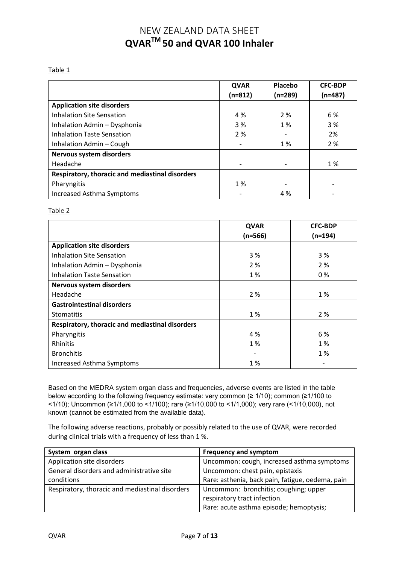#### Table 1

|                                                 | <b>QVAR</b>              | Placebo   | <b>CFC-BDP</b> |
|-------------------------------------------------|--------------------------|-----------|----------------|
|                                                 | $(n=812)$                | $(n=289)$ | $(n=487)$      |
| <b>Application site disorders</b>               |                          |           |                |
| <b>Inhalation Site Sensation</b>                | 4 %                      | 2 %       | 6 %            |
| Inhalation Admin - Dysphonia                    | 3 %                      | 1 %       | 3 %            |
| <b>Inhalation Taste Sensation</b>               | 2%                       |           | 2%             |
| Inhalation Admin - Cough                        | $\overline{\phantom{0}}$ | 1 %       | 2 %            |
| Nervous system disorders                        |                          |           |                |
| Headache                                        |                          |           | 1%             |
| Respiratory, thoracic and mediastinal disorders |                          |           |                |
| Pharyngitis                                     | 1 %                      |           |                |
| Increased Asthma Symptoms                       |                          | 4 %       |                |

Table 2

|                                                 | <b>QVAR</b><br>$(n=566)$ | <b>CFC-BDP</b><br>$(n=194)$ |
|-------------------------------------------------|--------------------------|-----------------------------|
| <b>Application site disorders</b>               |                          |                             |
| <b>Inhalation Site Sensation</b>                | 3 %                      | 3 %                         |
| Inhalation Admin - Dysphonia                    | 2%                       | 2 %                         |
| Inhalation Taste Sensation                      | 1 %                      | $0\%$                       |
| Nervous system disorders                        |                          |                             |
| Headache                                        | 2 %                      | 1 %                         |
| <b>Gastrointestinal disorders</b>               |                          |                             |
| <b>Stomatitis</b>                               | 1 %                      | 2 %                         |
| Respiratory, thoracic and mediastinal disorders |                          |                             |
| Pharyngitis                                     | 4 %                      | 6 %                         |
| Rhinitis                                        | 1 %                      | 1 %                         |
| <b>Bronchitis</b>                               |                          | 1 %                         |
| Increased Asthma Symptoms                       | 1%                       |                             |

Based on the MEDRA system organ class and frequencies, adverse events are listed in the table below according to the following frequency estimate: very common (≥ 1/10); common (≥1/100 to <1/10); Uncommon (≥1/1,000 to <1/100); rare (≥1/10,000 to <1/1,000); very rare (<1/10,000), not known (cannot be estimated from the available data).

The following adverse reactions, probably or possibly related to the use of QVAR, were recorded during clinical trials with a frequency of less than 1 %.

| System organ class                              | <b>Frequency and symptom</b>                     |
|-------------------------------------------------|--------------------------------------------------|
| Application site disorders                      | Uncommon: cough, increased asthma symptoms       |
| General disorders and administrative site       | Uncommon: chest pain, epistaxis                  |
| conditions                                      | Rare: asthenia, back pain, fatigue, oedema, pain |
| Respiratory, thoracic and mediastinal disorders | Uncommon: bronchitis; coughing; upper            |
|                                                 | respiratory tract infection.                     |
|                                                 | Rare: acute asthma episode; hemoptysis;          |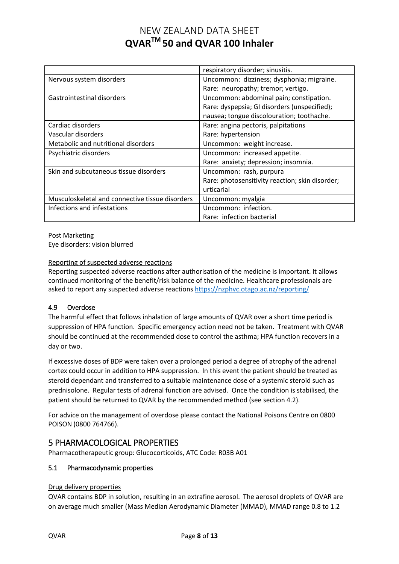|                                                 | respiratory disorder; sinusitis.                |
|-------------------------------------------------|-------------------------------------------------|
| Nervous system disorders                        | Uncommon: dizziness; dysphonia; migraine.       |
|                                                 | Rare: neuropathy; tremor; vertigo.              |
| Gastrointestinal disorders                      | Uncommon: abdominal pain; constipation.         |
|                                                 | Rare: dyspepsia; GI disorders (unspecified);    |
|                                                 | nausea; tongue discolouration; toothache.       |
| Cardiac disorders                               | Rare: angina pectoris, palpitations             |
| Vascular disorders                              | Rare: hypertension                              |
| Metabolic and nutritional disorders             | Uncommon: weight increase.                      |
| Psychiatric disorders                           | Uncommon: increased appetite.                   |
|                                                 | Rare: anxiety; depression; insomnia.            |
| Skin and subcutaneous tissue disorders          | Uncommon: rash, purpura                         |
|                                                 | Rare: photosensitivity reaction; skin disorder; |
|                                                 | urticarial                                      |
| Musculoskeletal and connective tissue disorders | Uncommon: myalgia                               |
| Infections and infestations                     | Uncommon: infection.                            |
|                                                 | Rare: infection bacterial                       |

Post Marketing

Eye disorders: vision blurred

## Reporting of suspected adverse reactions

Reporting suspected adverse reactions after authorisation of the medicine is important. It allows continued monitoring of the benefit/risk balance of the medicine. Healthcare professionals are asked to report any suspected adverse reactions <https://nzphvc.otago.ac.nz/reporting/>

## 4.9 Overdose

The harmful effect that follows inhalation of large amounts of QVAR over a short time period is suppression of HPA function. Specific emergency action need not be taken. Treatment with QVAR should be continued at the recommended dose to control the asthma; HPA function recovers in a day or two.

If excessive doses of BDP were taken over a prolonged period a degree of atrophy of the adrenal cortex could occur in addition to HPA suppression. In this event the patient should be treated as steroid dependant and transferred to a suitable maintenance dose of a systemic steroid such as prednisolone. Regular tests of adrenal function are advised. Once the condition is stabilised, the patient should be returned to QVAR by the recommended method (see section 4.2).

For advice on the management of overdose please contact the National Poisons Centre on 0800 POISON (0800 764766).

# 5 PHARMACOLOGICAL PROPERTIES

Pharmacotherapeutic group: Glucocorticoids, ATC Code: R03B A01

#### 5.1 Pharmacodynamic properties

#### Drug delivery properties

QVAR contains BDP in solution, resulting in an extrafine aerosol. The aerosol droplets of QVAR are on average much smaller (Mass Median Aerodynamic Diameter (MMAD), MMAD range 0.8 to 1.2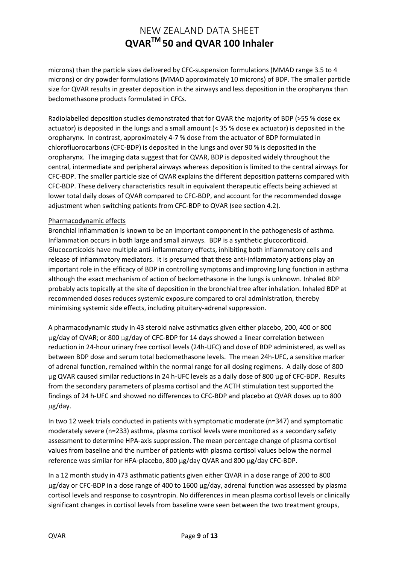microns) than the particle sizes delivered by CFC-suspension formulations (MMAD range 3.5 to 4 microns) or dry powder formulations (MMAD approximately 10 microns) of BDP. The smaller particle size for QVAR results in greater deposition in the airways and less deposition in the oropharynx than beclomethasone products formulated in CFCs.

Radiolabelled deposition studies demonstrated that for QVAR the majority of BDP (>55 % dose ex actuator) is deposited in the lungs and a small amount (< 35 % dose ex actuator) is deposited in the oropharynx. In contrast, approximately 4-7 % dose from the actuator of BDP formulated in chlorofluorocarbons (CFC-BDP) is deposited in the lungs and over 90 % is deposited in the oropharynx. The imaging data suggest that for QVAR, BDP is deposited widely throughout the central, intermediate and peripheral airways whereas deposition is limited to the central airways for CFC-BDP. The smaller particle size of QVAR explains the different deposition patterns compared with CFC-BDP. These delivery characteristics result in equivalent therapeutic effects being achieved at lower total daily doses of QVAR compared to CFC-BDP, and account for the recommended dosage adjustment when switching patients from CFC-BDP to QVAR (see section 4.2).

### Pharmacodynamic effects

Bronchial inflammation is known to be an important component in the pathogenesis of asthma. Inflammation occurs in both large and small airways. BDP is a synthetic glucocorticoid. Glucocorticoids have multiple anti-inflammatory effects, inhibiting both inflammatory cells and release of inflammatory mediators. It is presumed that these anti-inflammatory actions play an important role in the efficacy of BDP in controlling symptoms and improving lung function in asthma although the exact mechanism of action of beclomethasone in the lungs is unknown. Inhaled BDP probably acts topically at the site of deposition in the bronchial tree after inhalation. Inhaled BDP at recommended doses reduces systemic exposure compared to oral administration, thereby minimising systemic side effects, including pituitary-adrenal suppression.

A pharmacodynamic study in 43 steroid naive asthmatics given either placebo, 200, 400 or 800 µg/day of QVAR; or 800 µg/day of CFC-BDP for 14 days showed a linear correlation between reduction in 24-hour urinary free cortisol levels (24h-UFC) and dose of BDP administered, as well as between BDP dose and serum total beclomethasone levels. The mean 24h-UFC, a sensitive marker of adrenal function, remained within the normal range for all dosing regimens. A daily dose of 800 µg QVAR caused similar reductions in 24 h-UFC levels as a daily dose of 800 µg of CFC-BDP. Results from the secondary parameters of plasma cortisol and the ACTH stimulation test supported the findings of 24 h-UFC and showed no differences to CFC-BDP and placebo at QVAR doses up to 800 g/day.

In two 12 week trials conducted in patients with symptomatic moderate (n=347) and symptomatic moderately severe (n=233) asthma, plasma cortisol levels were monitored as a secondary safety assessment to determine HPA-axis suppression. The mean percentage change of plasma cortisol values from baseline and the number of patients with plasma cortisol values below the normal reference was similar for HFA-placebo, 800 µg/day QVAR and 800 µg/day CFC-BDP.

In a 12 month study in 473 asthmatic patients given either QVAR in a dose range of 200 to 800 g/day or CFC-BDP in a dose range of 400 to 1600 g/day, adrenal function was assessed by plasma cortisol levels and response to cosyntropin. No differences in mean plasma cortisol levels or clinically significant changes in cortisol levels from baseline were seen between the two treatment groups,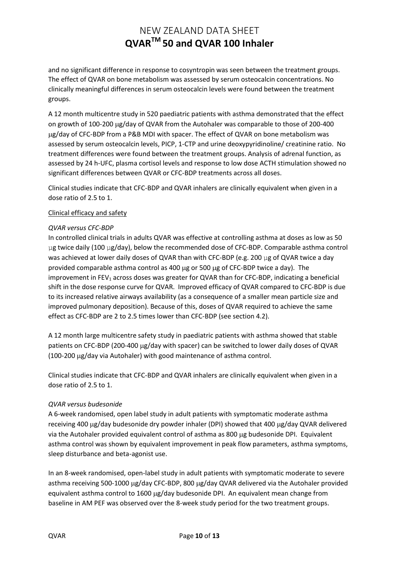and no significant difference in response to cosyntropin was seen between the treatment groups. The effect of QVAR on bone metabolism was assessed by serum osteocalcin concentrations. No clinically meaningful differences in serum osteocalcin levels were found between the treatment groups.

A 12 month multicentre study in 520 paediatric patients with asthma demonstrated that the effect on growth of 100-200 µg/day of QVAR from the Autohaler was comparable to those of 200-400 g/day of CFC-BDP from a P&B MDI with spacer. The effect of QVAR on bone metabolism was assessed by serum osteocalcin levels, PICP, 1-CTP and urine deoxypyridinoline/ creatinine ratio. No treatment differences were found between the treatment groups. Analysis of adrenal function, as assessed by 24 h-UFC, plasma cortisol levels and response to low dose ACTH stimulation showed no significant differences between QVAR or CFC-BDP treatments across all doses.

Clinical studies indicate that CFC-BDP and QVAR inhalers are clinically equivalent when given in a dose ratio of 2.5 to 1.

### Clinical efficacy and safety

### *QVAR versus CFC-BDP*

In controlled clinical trials in adults QVAR was effective at controlling asthma at doses as low as 50 µg twice daily (100 µg/day), below the recommended dose of CFC-BDP. Comparable asthma control was achieved at lower daily doses of QVAR than with CFC-BDP (e.g. 200 µg of QVAR twice a day provided comparable asthma control as 400  $\mu$ g or 500  $\mu$ g of CFC-BDP twice a day). The improvement in FEV<sub>1</sub> across doses was greater for QVAR than for CFC-BDP, indicating a beneficial shift in the dose response curve for QVAR. Improved efficacy of QVAR compared to CFC-BDP is due to its increased relative airways availability (as a consequence of a smaller mean particle size and improved pulmonary deposition). Because of this, doses of QVAR required to achieve the same effect as CFC-BDP are 2 to 2.5 times lower than CFC-BDP (see section 4.2).

A 12 month large multicentre safety study in paediatric patients with asthma showed that stable patients on CFC-BDP (200-400 µg/day with spacer) can be switched to lower daily doses of QVAR (100-200 µg/day via Autohaler) with good maintenance of asthma control.

Clinical studies indicate that CFC-BDP and QVAR inhalers are clinically equivalent when given in a dose ratio of 2.5 to 1.

#### *QVAR versus budesonide*

A 6-week randomised, open label study in adult patients with symptomatic moderate asthma receiving 400 µg/day budesonide dry powder inhaler (DPI) showed that 400 µg/day QVAR delivered via the Autohaler provided equivalent control of asthma as 800 µg budesonide DPI. Equivalent asthma control was shown by equivalent improvement in peak flow parameters, asthma symptoms, sleep disturbance and beta-agonist use.

In an 8-week randomised, open-label study in adult patients with symptomatic moderate to severe asthma receiving 500-1000 µg/day CFC-BDP, 800 µg/day QVAR delivered via the Autohaler provided equivalent asthma control to  $1600 \mu g/day$  budesonide DPI. An equivalent mean change from baseline in AM PEF was observed over the 8-week study period for the two treatment groups.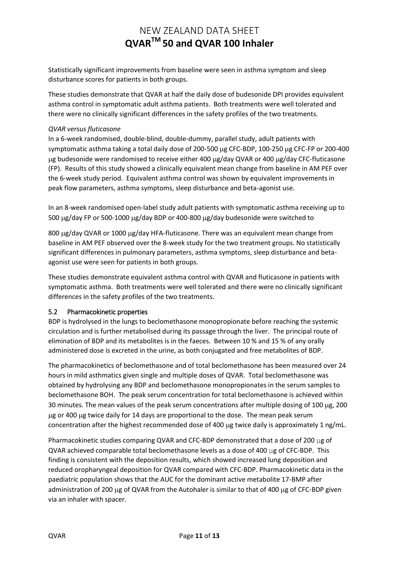Statistically significant improvements from baseline were seen in asthma symptom and sleep disturbance scores for patients in both groups.

These studies demonstrate that QVAR at half the daily dose of budesonide DPI provides equivalent asthma control in symptomatic adult asthma patients. Both treatments were well tolerated and there were no clinically significant differences in the safety profiles of the two treatments.

### *QVAR versus fluticasone*

In a 6-week randomised, double-blind, double-dummy, parallel study, adult patients with symptomatic asthma taking a total daily dose of 200-500  $\mu$ g CFC-BDP, 100-250  $\mu$ g CFC-FP or 200-400 ug budesonide were randomised to receive either 400 ug/day QVAR or 400 ug/day CFC-fluticasone (FP). Results of this study showed a clinically equivalent mean change from baseline in AM PEF over the 6-week study period. Equivalent asthma control was shown by equivalent improvements in peak flow parameters, asthma symptoms, sleep disturbance and beta-agonist use.

In an 8-week randomised open-label study adult patients with symptomatic asthma receiving up to 500 µg/day FP or 500-1000 µg/day BDP or 400-800 µg/day budesonide were switched to

800 ug/day QVAR or 1000 ug/day HFA-fluticasone. There was an equivalent mean change from baseline in AM PEF observed over the 8-week study for the two treatment groups. No statistically significant differences in pulmonary parameters, asthma symptoms, sleep disturbance and betaagonist use were seen for patients in both groups.

These studies demonstrate equivalent asthma control with QVAR and fluticasone in patients with symptomatic asthma. Both treatments were well tolerated and there were no clinically significant differences in the safety profiles of the two treatments.

## 5.2 Pharmacokinetic properties

BDP is hydrolysed in the lungs to beclomethasone monopropionate before reaching the systemic circulation and is further metabolised during its passage through the liver. The principal route of elimination of BDP and its metabolites is in the faeces. Between 10 % and 15 % of any orally administered dose is excreted in the urine, as both conjugated and free metabolites of BDP.

The pharmacokinetics of beclomethasone and of total beclomethasone has been measured over 24 hours in mild asthmatics given single and multiple doses of QVAR. Total beclomethasone was obtained by hydrolysing any BDP and beclomethasone monopropionates in the serum samples to beclomethasone BOH. The peak serum concentration for total beclomethasone is achieved within 30 minutes. The mean values of the peak serum concentrations after multiple dosing of 100 µg, 200 g or 400 g twice daily for 14 days are proportional to the dose. The mean peak serum concentration after the highest recommended dose of 400 µg twice daily is approximately 1 ng/mL.

Pharmacokinetic studies comparing QVAR and CFC-BDP demonstrated that a dose of 200 µg of QVAR achieved comparable total beclomethasone levels as a dose of 400  $\mu$ g of CFC-BDP. This finding is consistent with the deposition results, which showed increased lung deposition and reduced oropharyngeal deposition for QVAR compared with CFC-BDP. Pharmacokinetic data in the paediatric population shows that the AUC for the dominant active metabolite 17-BMP after administration of 200  $\mu$ g of QVAR from the Autohaler is similar to that of 400  $\mu$ g of CFC-BDP given via an inhaler with spacer.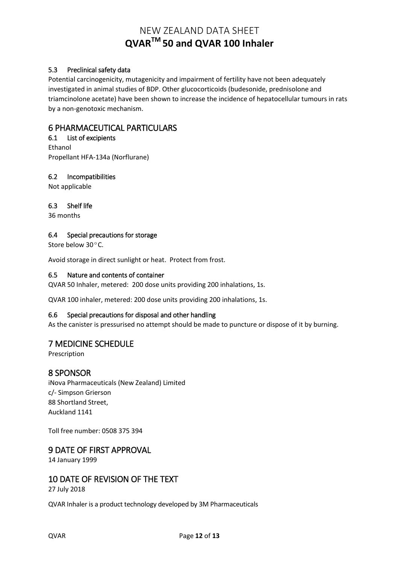# 5.3 Preclinical safety data

Potential carcinogenicity, mutagenicity and impairment of fertility have not been adequately investigated in animal studies of BDP. Other glucocorticoids (budesonide, prednisolone and triamcinolone acetate) have been shown to increase the incidence of hepatocellular tumours in rats by a non-genotoxic mechanism.

# 6 PHARMACEUTICAL PARTICULARS

6.1 List of excipients Ethanol Propellant HFA-134a (Norflurane)

## 6.2 Incompatibilities

Not applicable

6.3 Shelf life

36 months

### 6.4 Special precautions for storage

Store below 30ºC.

Avoid storage in direct sunlight or heat. Protect from frost.

### 6.5 Nature and contents of container

QVAR 50 Inhaler, metered: 200 dose units providing 200 inhalations, 1s.

QVAR 100 inhaler, metered: 200 dose units providing 200 inhalations, 1s.

## 6.6 Special precautions for disposal and other handling

As the canister is pressurised no attempt should be made to puncture or dispose of it by burning.

# 7 MEDICINE SCHEDULE

Prescription

# 8 SPONSOR

iNova Pharmaceuticals (New Zealand) Limited c/- Simpson Grierson 88 Shortland Street, Auckland 1141

Toll free number: 0508 375 394

# 9 DATE OF FIRST APPROVAL

14 January 1999

# 10 DATE OF REVISION OF THE TEXT

27 July 2018

QVAR Inhaler is a product technology developed by 3M Pharmaceuticals